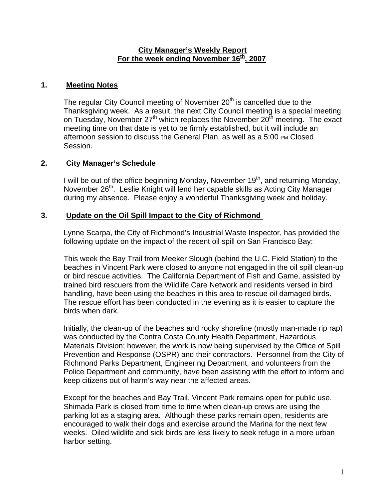#### **City Manager's Weekly Report** For the week ending November 16<sup>th</sup>, 2007

### **1. Meeting Notes**

The regular City Council meeting of November  $20<sup>th</sup>$  is cancelled due to the Thanksgiving week. As a result, the next City Council meeting is a special meeting on Tuesday, November  $27<sup>th</sup>$  which replaces the November  $20<sup>th</sup>$  meeting. The exact meeting time on that date is yet to be firmly established, but it will include an afternoon session to discuss the General Plan, as well as a 5:00 PM Closed Session.

# **2. City Manager's Schedule**

I will be out of the office beginning Monday, November  $19<sup>th</sup>$ , and returning Monday, November 26<sup>th</sup>. Leslie Knight will lend her capable skills as Acting City Manager during my absence. Please enjoy a wonderful Thanksgiving week and holiday.

#### **3. Update on the Oil Spill Impact to the City of Richmond**

Lynne Scarpa, the City of Richmond's Industrial Waste Inspector, has provided the following update on the impact of the recent oil spill on San Francisco Bay:

This week the Bay Trail from Meeker Slough (behind the U.C. Field Station) to the beaches in Vincent Park were closed to anyone not engaged in the oil spill clean-up or bird rescue activities. The California Department of Fish and Game, assisted by trained bird rescuers from the Wildlife Care Network and residents versed in bird handling, have been using the beaches in this area to rescue oil damaged birds. The rescue effort has been conducted in the evening as it is easier to capture the birds when dark.

Initially, the clean-up of the beaches and rocky shoreline (mostly man-made rip rap) was conducted by the Contra Costa County Health Department, Hazardous Materials Division; however, the work is now being supervised by the Office of Spill Prevention and Response (OSPR) and their contractors. Personnel from the City of Richmond Parks Department, Engineering Department, and volunteers from the Police Department and community, have been assisting with the effort to inform and keep citizens out of harm's way near the affected areas.

Except for the beaches and Bay Trail, Vincent Park remains open for public use. Shimada Park is closed from time to time when clean-up crews are using the parking lot as a staging area. Although these parks remain open, residents are encouraged to walk their dogs and exercise around the Marina for the next few weeks. Oiled wildlife and sick birds are less likely to seek refuge in a more urban harbor setting.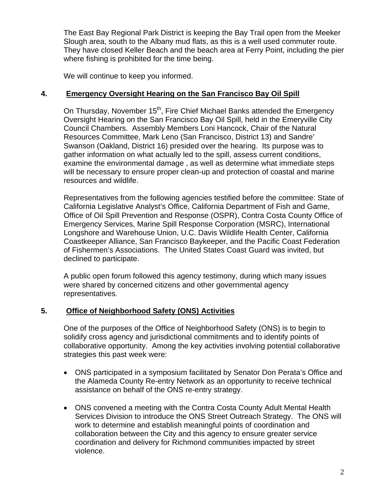The East Bay Regional Park District is keeping the Bay Trail open from the Meeker Slough area, south to the Albany mud flats, as this is a well used commuter route. They have closed Keller Beach and the beach area at Ferry Point, including the pier where fishing is prohibited for the time being.

We will continue to keep you informed.

### **4. Emergency Oversight Hearing on the San Francisco Bay Oil Spill**

On Thursday, November 15<sup>th</sup>, Fire Chief Michael Banks attended the Emergency Oversight Hearing on the San Francisco Bay Oil Spill, held in the Emeryville City Council Chambers. Assembly Members Loni Hancock, Chair of the Natural Resources Committee, Mark Leno (San Francisco, District 13) and Sandre' Swanson (Oakland, District 16) presided over the hearing. Its purpose was to gather information on what actually led to the spill, assess current conditions, examine the environmental damage , as well as determine what immediate steps will be necessary to ensure proper clean-up and protection of coastal and marine resources and wildlife.

Representatives from the following agencies testified before the committee: State of California Legislative Analyst's Office, California Department of Fish and Game, Office of Oil Spill Prevention and Response (OSPR), Contra Costa County Office of Emergency Services, Marine Spill Response Corporation (MSRC), International Longshore and Warehouse Union, U.C. Davis Wildlife Health Center, California Coastkeeper Alliance, San Francisco Baykeeper, and the Pacific Coast Federation of Fishermen's Associations. The United States Coast Guard was invited, but declined to participate.

A public open forum followed this agency testimony, during which many issues were shared by concerned citizens and other governmental agency representatives.

# **5. Office of Neighborhood Safety (ONS) Activities**

One of the purposes of the Office of Neighborhood Safety (ONS) is to begin to solidify cross agency and jurisdictional commitments and to identify points of collaborative opportunity. Among the key activities involving potential collaborative strategies this past week were:

- ONS participated in a symposium facilitated by Senator Don Perata's Office and the Alameda County Re-entry Network as an opportunity to receive technical assistance on behalf of the ONS re-entry strategy.
- ONS convened a meeting with the Contra Costa County Adult Mental Health Services Division to introduce the ONS Street Outreach Strategy. The ONS will work to determine and establish meaningful points of coordination and collaboration between the City and this agency to ensure greater service coordination and delivery for Richmond communities impacted by street violence.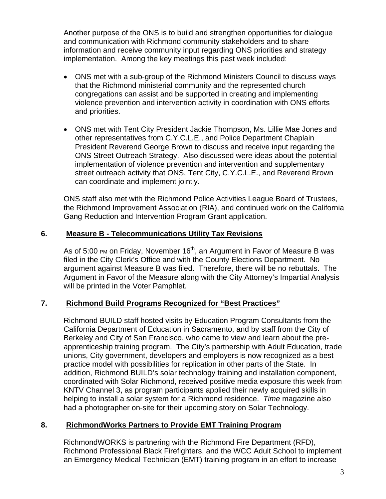Another purpose of the ONS is to build and strengthen opportunities for dialogue and communication with Richmond community stakeholders and to share information and receive community input regarding ONS priorities and strategy implementation. Among the key meetings this past week included:

- ONS met with a sub-group of the Richmond Ministers Council to discuss ways that the Richmond ministerial community and the represented church congregations can assist and be supported in creating and implementing violence prevention and intervention activity in coordination with ONS efforts and priorities.
- ONS met with Tent City President Jackie Thompson, Ms. Lillie Mae Jones and other representatives from C.Y.C.L.E., and Police Department Chaplain President Reverend George Brown to discuss and receive input regarding the ONS Street Outreach Strategy. Also discussed were ideas about the potential implementation of violence prevention and intervention and supplementary street outreach activity that ONS, Tent City, C.Y.C.L.E., and Reverend Brown can coordinate and implement jointly.

ONS staff also met with the Richmond Police Activities League Board of Trustees, the Richmond Improvement Association (RIA), and continued work on the California Gang Reduction and Intervention Program Grant application.

#### **6. Measure B - Telecommunications Utility Tax Revisions**

As of 5:00 PM on Friday, November  $16<sup>th</sup>$ , an Argument in Favor of Measure B was filed in the City Clerk's Office and with the County Elections Department. No argument against Measure B was filed. Therefore, there will be no rebuttals. The Argument in Favor of the Measure along with the City Attorney's Impartial Analysis will be printed in the Voter Pamphlet.

# **7. Richmond Build Programs Recognized for "Best Practices"**

Richmond BUILD staff hosted visits by Education Program Consultants from the California Department of Education in Sacramento, and by staff from the City of Berkeley and City of San Francisco, who came to view and learn about the preapprenticeship training program. The City's partnership with Adult Education, trade unions, City government, developers and employers is now recognized as a best practice model with possibilities for replication in other parts of the State. In addition, Richmond BUILD's solar technology training and installation component, coordinated with Solar Richmond, received positive media exposure this week from KNTV Channel 3, as program participants applied their newly acquired skills in helping to install a solar system for a Richmond residence. *Time* magazine also had a photographer on-site for their upcoming story on Solar Technology.

#### **8. RichmondWorks Partners to Provide EMT Training Program**

RichmondWORKS is partnering with the Richmond Fire Department (RFD), Richmond Professional Black Firefighters, and the WCC Adult School to implement an Emergency Medical Technician (EMT) training program in an effort to increase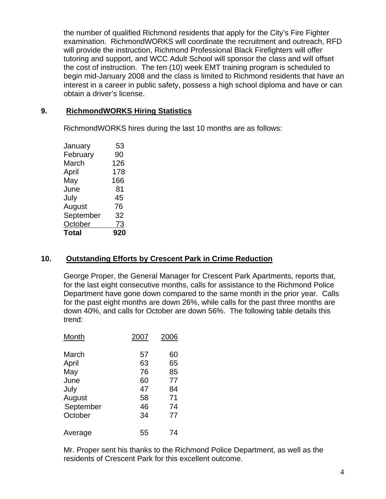the number of qualified Richmond residents that apply for the City's Fire Fighter examination. RichmondWORKS will coordinate the recruitment and outreach, RFD will provide the instruction, Richmond Professional Black Firefighters will offer tutoring and support, and WCC Adult School will sponsor the class and will offset the cost of instruction. The ten (10) week EMT training program is scheduled to begin mid-January 2008 and the class is limited to Richmond residents that have an interest in a career in public safety, possess a high school diploma and have or can obtain a driver's license.

# **9. RichmondWORKS Hiring Statistics**

RichmondWORKS hires during the last 10 months are as follows:

|           | 90  |
|-----------|-----|
| February  |     |
| March     | 126 |
| April     | 178 |
| May       | 166 |
| June      | 81  |
| July      | 45  |
| August    | 76  |
| September | 32  |
| October   | 73  |
|           |     |
| Total     | 920 |

# **10. Outstanding Efforts by Crescent Park in Crime Reduction**

George Proper, the General Manager for Crescent Park Apartments, reports that, for the last eight consecutive months, calls for assistance to the Richmond Police Department have gone down compared to the same month in the prior year. Calls for the past eight months are down 26%, while calls for the past three months are down 40%, and calls for October are down 56%. The following table details this trend:

| Month     | 2007 | 2006 |
|-----------|------|------|
| March     | 57   | 60   |
| April     | 63   | 65   |
| May       | 76   | 85   |
| June      | 60   | 77   |
| July      | 47   | 84   |
| August    | 58   | 71   |
| September | 46   | 74   |
| October   | 34   | 77   |
| Average   | 55   | 74   |

Mr. Proper sent his thanks to the Richmond Police Department, as well as the residents of Crescent Park for this excellent outcome.